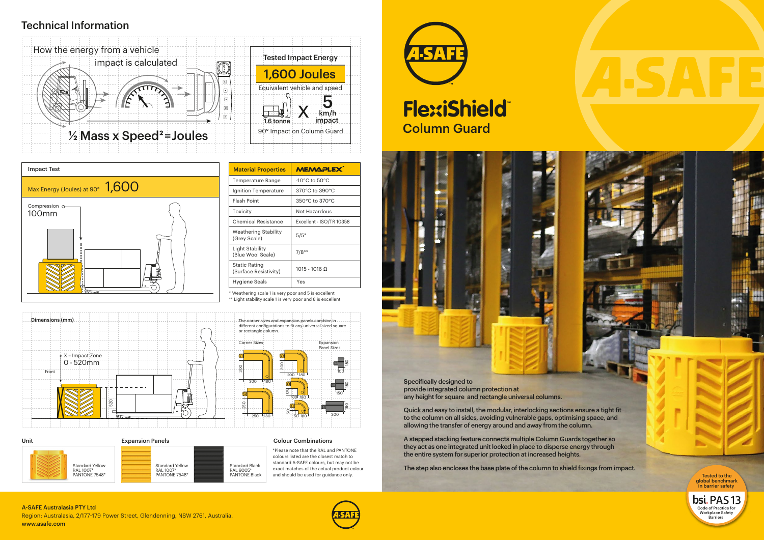Unit Expansion Panels



### Colour Combinations

\*Please note that the RAL and PANTONE colours listed are the closest match to standard A-SAFE colours, but may not be exact matches of the actual product colour and should be used for guidance only.



# Column Guard **FlexiShield**



Specifically designed to provide integrated column protection at any height for square and rectangle universal columns.

Quick and easy to install, the modular, interlocking sections ensure a tight fit to the column on all sides, avoiding vulnerable gaps, optimising space, and allowing the transfer of energy around and away from the column.

A stepped stacking feature connects multiple Column Guards together so they act as one integrated unit locked in place to disperse energy through the entire system for superior protection at increased heights.



The step also encloses the base plate of the column to shield fixings from impact.

180 150 100 300 250 50 180 180 180 180

\* Weathering scale 1 is very poor and 5 is excellent



| <b>Material Properties</b>                    | <b>MEMAPLEX</b>          |
|-----------------------------------------------|--------------------------|
| Temperature Range                             | -10°C to $50^{\circ}$ C  |
| Ignition Temperature                          | 370°C to 390°C           |
| <b>Flash Point</b>                            | 350°C to 370°C           |
| Toxicity                                      | Not Hazardous            |
| Chemical Resistance                           | Excellent - ISO/TR 10358 |
| <b>Weathering Stability</b><br>(Grey Scale)   | $5/5*$                   |
| Light Stability<br>(Blue Wool Scale)          | $7/8**$                  |
| <b>Static Rating</b><br>(Surface Resistivity) | $1015 - 1016$ $\Omega$   |
| Hygiene Seals                                 | Yes                      |

## Technical Information

Tested to the global benchmark in barrier safety

bsi. PAS 13 Code of Practice for Workplace Safety **Barriers** 

Region: Australasia, 2/177-179 Power Street, Glendenning, NSW 2761, Australia. www.asafe.com A-SAFE Australasia PTY Ltd